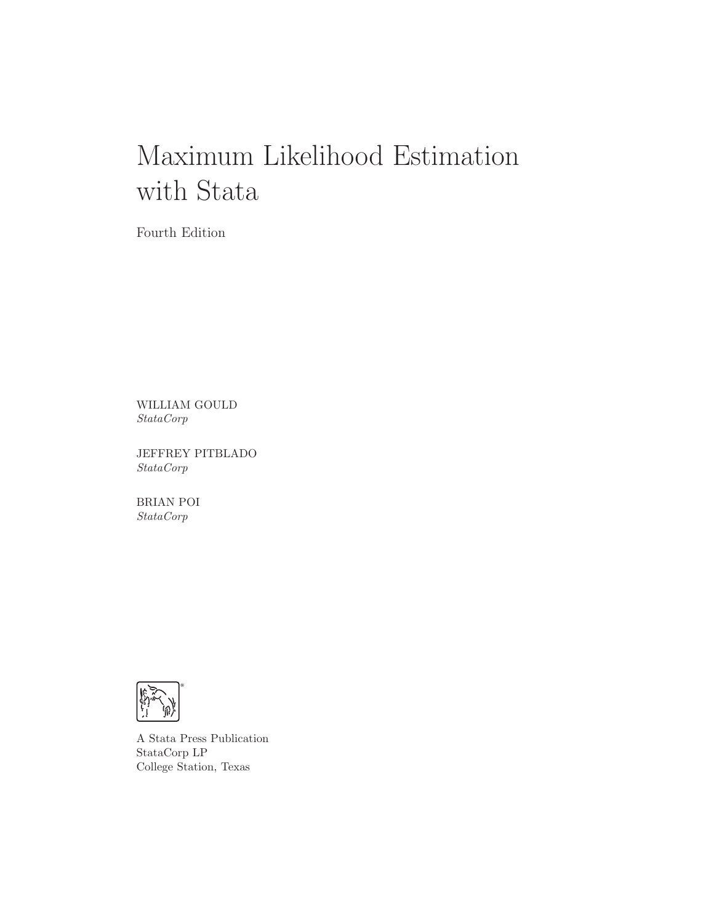# Maximum Likelihood Estimation with Stata

Fourth Edition

WILLIAM GOULD StataCorp

JEFFREY PITBLADO StataCorp

BRIAN POI StataCorp



A Stata Press Publication StataCorp LP College Station, Texas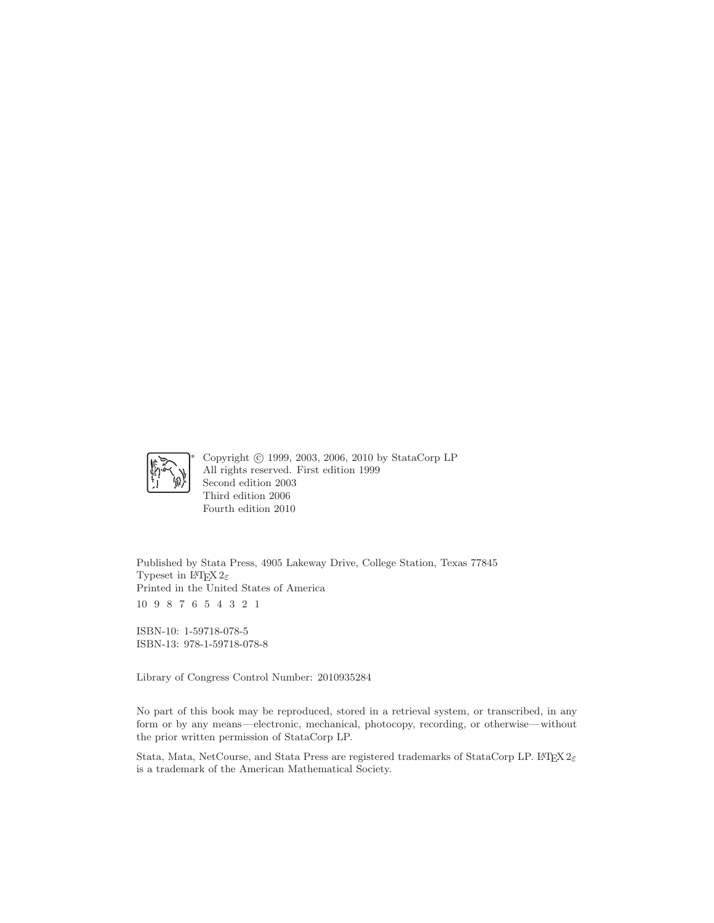

Copyright © 1999, 2003, 2006, 2010 by StataCorp LP All rights reserved. First edition 1999 Second edition 2003 Third edition 2006 Fourth edition 2010

Published by Stata Press, 4905 Lakeway Drive, College Station, Texas 77845 Typeset in L<sup>AT</sup>EX  $2\varepsilon$ Printed in the United States of America 10 9 8 7 6 5 4 3 2 1

ISBN-10: 1-59718-078-5 ISBN-13: 978-1-59718-078-8

Library of Congress Control Number: 2010935284

No part of this book may be reproduced, stored in a retrieval system, or transcribed, in any form or by any means—electronic, mechanical, photocopy, recording, or otherwise—without the prior written permission of StataCorp LP.

Stata, Mata, NetCourse, and Stata Press are registered trademarks of StataCorp LP. LATEX  $2\varepsilon$ is a trademark of the American Mathematical Society.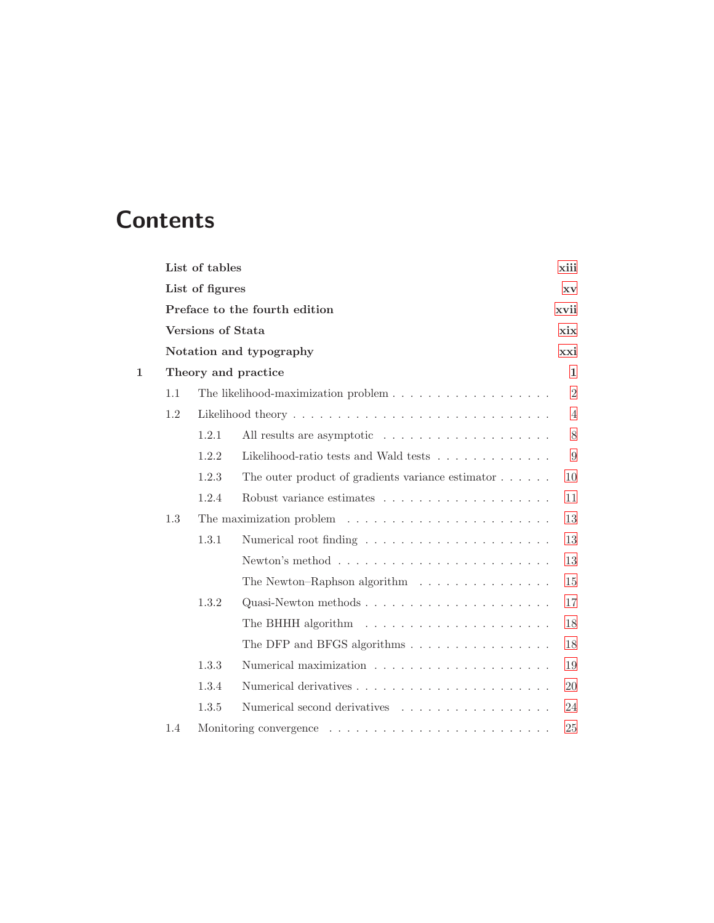# **Contents**

|   | List of tables  |                               |                                                                                  |                |  |  |
|---|-----------------|-------------------------------|----------------------------------------------------------------------------------|----------------|--|--|
|   | List of figures |                               | $\mathbf{X}\mathbf{V}$                                                           |                |  |  |
|   |                 | Preface to the fourth edition | xvii                                                                             |                |  |  |
|   |                 | <b>Versions of Stata</b>      | xix                                                                              |                |  |  |
|   |                 |                               | Notation and typography                                                          | xxi            |  |  |
| 1 |                 |                               | Theory and practice                                                              | $\mathbf{1}$   |  |  |
|   | 1.1             |                               | The likelihood-maximization problem $\dots \dots \dots \dots \dots \dots \dots$  | $\overline{2}$ |  |  |
|   | 1.2             |                               |                                                                                  | $\overline{4}$ |  |  |
|   |                 | 1.2.1                         |                                                                                  | 8              |  |  |
|   |                 | 1.2.2                         | Likelihood-ratio tests and Wald tests                                            | 9              |  |  |
|   |                 | 1.2.3                         | The outer product of gradients variance estimator $\ldots \ldots$                | 10             |  |  |
|   |                 | 1.2.4                         |                                                                                  | 11             |  |  |
|   | 1.3             |                               | The maximization problem $\dots \dots \dots \dots \dots \dots \dots \dots \dots$ | 13             |  |  |
|   |                 | 1.3.1                         |                                                                                  | 13             |  |  |
|   |                 |                               | Newton's method $\ldots \ldots \ldots \ldots \ldots \ldots \ldots \ldots$        | 13             |  |  |
|   |                 |                               | The Newton-Raphson algorithm $\ldots \ldots \ldots \ldots \ldots$                | 15             |  |  |
|   |                 | 1.3.2                         | Quasi-Newton methods $\dots \dots \dots \dots \dots \dots \dots \dots$           | 17             |  |  |
|   |                 |                               | The BHHH algorithm $\ldots \ldots \ldots \ldots \ldots \ldots \ldots$            | 18             |  |  |
|   |                 |                               | The DFP and BFGS algorithms                                                      | 18             |  |  |
|   |                 | 1.3.3                         |                                                                                  | 19             |  |  |
|   |                 | 1.3.4                         |                                                                                  | 20             |  |  |
|   |                 | 1.3.5                         | Numerical second derivatives                                                     | 24             |  |  |
|   | 1.4             |                               |                                                                                  | 25             |  |  |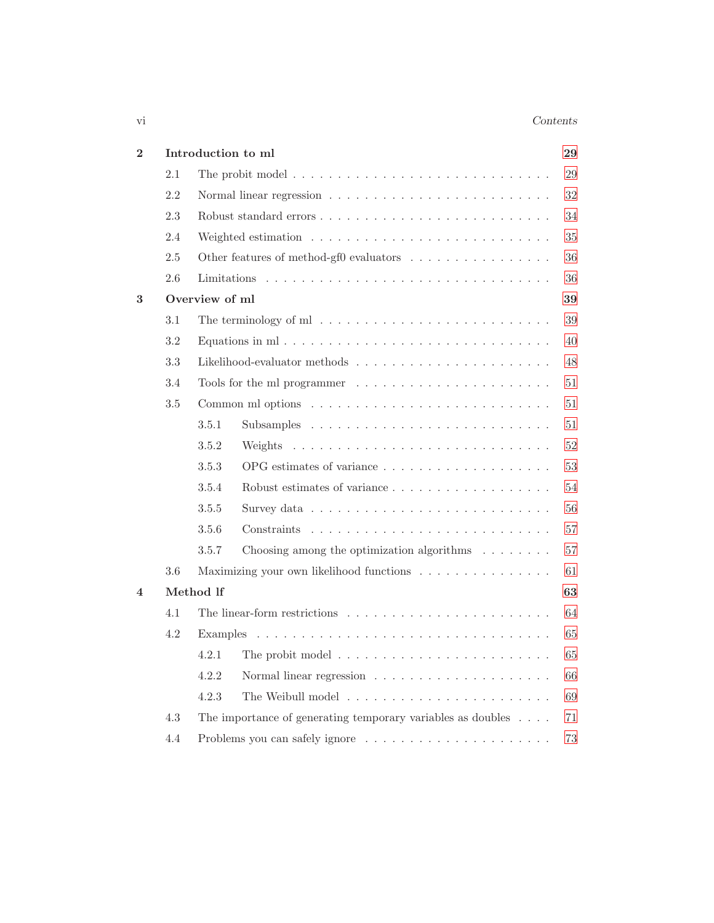### vi *Contents*

| $\overline{2}$ | Introduction to ml                      |                |                                                                                          |        |  |  |  |  |  |  |
|----------------|-----------------------------------------|----------------|------------------------------------------------------------------------------------------|--------|--|--|--|--|--|--|
|                | 2.1                                     |                | The probit model $\ldots \ldots \ldots \ldots \ldots \ldots \ldots \ldots \ldots \ldots$ | 29     |  |  |  |  |  |  |
|                | 2.2                                     | 32             |                                                                                          |        |  |  |  |  |  |  |
|                | 2.3                                     |                |                                                                                          | 34     |  |  |  |  |  |  |
|                | 2.4                                     |                |                                                                                          | 35     |  |  |  |  |  |  |
|                | Other features of method-gf0 evaluators | 36             |                                                                                          |        |  |  |  |  |  |  |
|                |                                         | 36             |                                                                                          |        |  |  |  |  |  |  |
| 3              |                                         | Overview of ml |                                                                                          | 39     |  |  |  |  |  |  |
|                | 3.1                                     |                |                                                                                          | 39     |  |  |  |  |  |  |
|                | 3.2                                     |                |                                                                                          | 40     |  |  |  |  |  |  |
|                | 3.3                                     |                |                                                                                          | 48     |  |  |  |  |  |  |
|                | 3.4                                     |                | Tools for the ml programmer $\ldots \ldots \ldots \ldots \ldots \ldots \ldots$           | 51     |  |  |  |  |  |  |
|                | 3.5                                     |                |                                                                                          | 51     |  |  |  |  |  |  |
|                |                                         | 3.5.1          |                                                                                          | 51     |  |  |  |  |  |  |
|                |                                         | 3.5.2          |                                                                                          | 52     |  |  |  |  |  |  |
|                |                                         | 3.5.3          |                                                                                          | $53\,$ |  |  |  |  |  |  |
|                |                                         | 3.5.4          |                                                                                          | 54     |  |  |  |  |  |  |
|                |                                         | 3.5.5          |                                                                                          | 56     |  |  |  |  |  |  |
|                |                                         | 3.5.6          |                                                                                          | 57     |  |  |  |  |  |  |
|                |                                         | 3.5.7          | Choosing among the optimization algorithms $\ldots \ldots$                               | $57\,$ |  |  |  |  |  |  |
|                | 3.6                                     |                | Maximizing your own likelihood functions                                                 | 61     |  |  |  |  |  |  |
| 4              |                                         | Method lf      |                                                                                          | 63     |  |  |  |  |  |  |
|                | 4.1                                     |                |                                                                                          | 64     |  |  |  |  |  |  |
|                | 4.2                                     |                |                                                                                          | 65     |  |  |  |  |  |  |
|                |                                         | 4.2.1          | The probit model $\dots \dots \dots \dots \dots \dots \dots \dots \dots$                 | 65     |  |  |  |  |  |  |
|                |                                         | 4.2.2          |                                                                                          | 66     |  |  |  |  |  |  |
|                |                                         | 4.2.3          |                                                                                          | 69     |  |  |  |  |  |  |
|                | 4.3                                     |                | The importance of generating temporary variables as doubles $\ldots$ .                   | 71     |  |  |  |  |  |  |
|                | 4.4                                     |                |                                                                                          | 73     |  |  |  |  |  |  |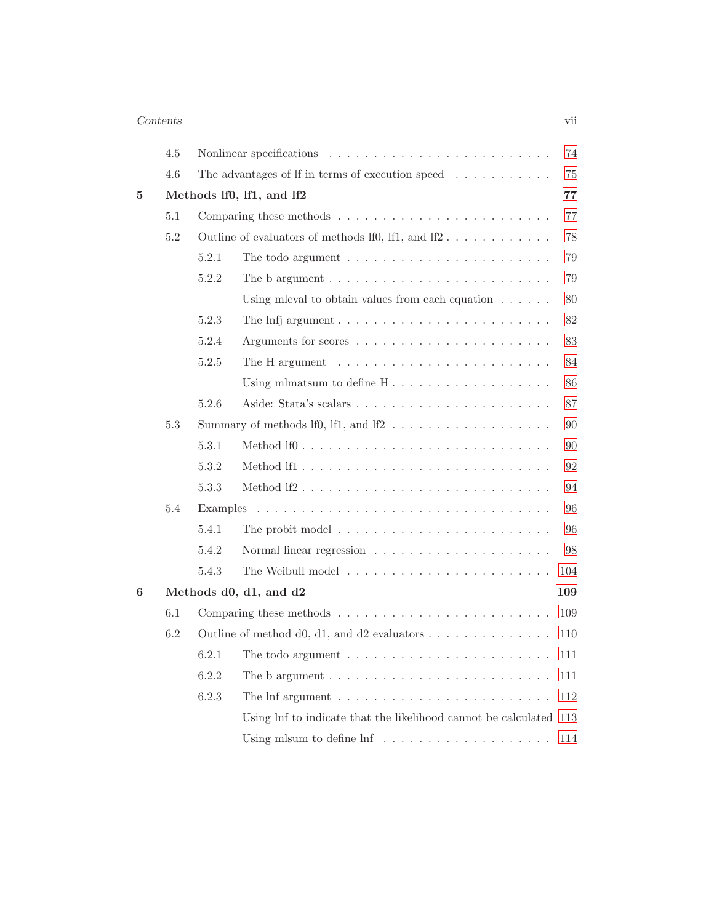### *Contents* vii

|          | 4.5 |          |                                                                                   | 74  |
|----------|-----|----------|-----------------------------------------------------------------------------------|-----|
|          | 4.6 |          | The advantages of If in terms of execution speed $\ldots \ldots \ldots$           | 75  |
| $\bf{5}$ |     |          | Methods lf0, lf1, and lf2                                                         | 77  |
|          | 5.1 |          | Comparing these methods $\ldots \ldots \ldots \ldots \ldots \ldots \ldots \ldots$ | 77  |
|          | 5.2 |          | Outline of evaluators of methods lf0, lf1, and lf2 $\dots$                        | 78  |
|          |     | 5.2.1    | The todo argument $\ldots \ldots \ldots \ldots \ldots \ldots \ldots$              | 79  |
|          |     | 5.2.2    | The b argument $\ldots \ldots \ldots \ldots \ldots \ldots \ldots \ldots \ldots$   | 79  |
|          |     |          | Using mleval to obtain values from each equation $\ldots \ldots$                  | 80  |
|          |     | 5.2.3    | The lnfj argument $\ldots \ldots \ldots \ldots \ldots \ldots \ldots \ldots$       | 82  |
|          |     | 5.2.4    | Arguments for scores $\dots \dots \dots \dots \dots \dots \dots \dots$            | 83  |
|          |     | 5.2.5    | The H argument $\dots \dots \dots \dots \dots \dots \dots \dots \dots$            | 84  |
|          |     |          | Using mlmatsum to define $H \dots \dots \dots \dots \dots \dots$                  | 86  |
|          |     | 5.2.6    |                                                                                   | 87  |
|          | 5.3 |          | Summary of methods If0, If1, and If2 $\dots \dots \dots \dots \dots \dots$        | 90  |
|          |     | 5.3.1    |                                                                                   | 90  |
|          |     | 5.3.2    |                                                                                   | 92  |
|          |     | 5.3.3    |                                                                                   | 94  |
|          | 5.4 | Examples |                                                                                   | 96  |
|          |     | 5.4.1    | The probit model $\dots \dots \dots \dots \dots \dots \dots \dots \dots$          | 96  |
|          |     | 5.4.2    | Normal linear regression $\ldots \ldots \ldots \ldots \ldots \ldots$              | 98  |
|          |     | 5.4.3    |                                                                                   | 104 |
| 6        |     |          | Methods d0, d1, and d2                                                            | 109 |
|          | 6.1 |          |                                                                                   | 109 |
|          | 6.2 |          | Outline of method d0, d1, and d2 evaluators $\dots \dots \dots \dots \dots$       | 110 |
|          |     | 6.2.1    | The todo argument $\dots \dots \dots \dots \dots \dots \dots \dots \dots$         | 111 |
|          |     | 6.2.2    | The b argument $\ldots \ldots \ldots \ldots \ldots \ldots \ldots \ldots$          | 111 |
|          |     | 6.2.3    |                                                                                   | 112 |
|          |     |          | Using lnf to indicate that the likelihood cannot be calculated 113                |     |
|          |     |          |                                                                                   | 114 |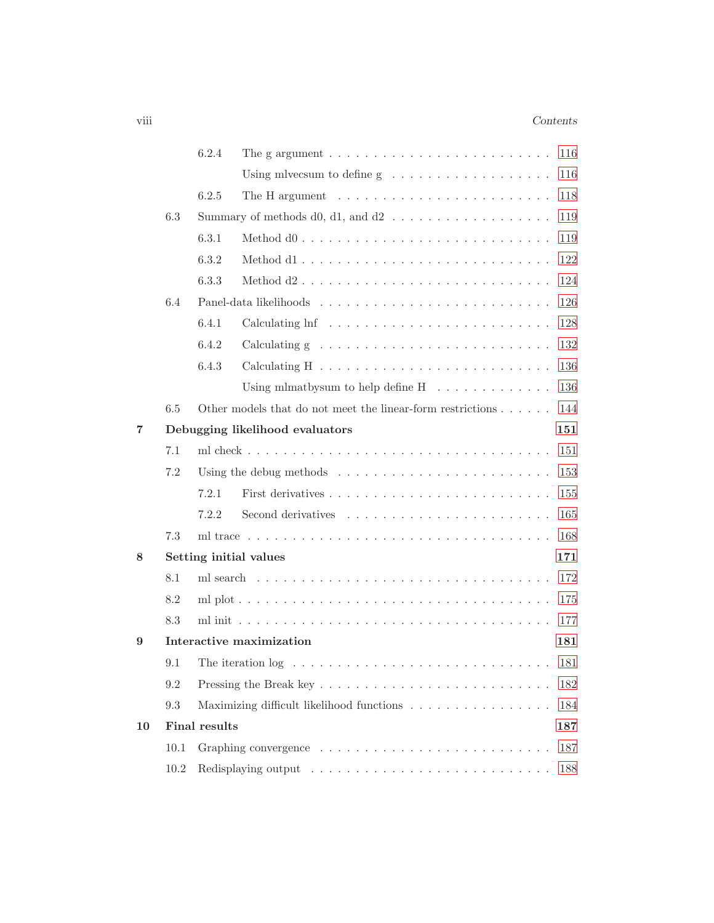### viii *Contents*

|    |      | 6.2.4<br>116<br>The g argument $\ldots \ldots \ldots \ldots \ldots \ldots \ldots \ldots \ldots$                        |
|----|------|------------------------------------------------------------------------------------------------------------------------|
|    |      | 116<br>Using mlvecsum to define $g \dots \dots \dots \dots \dots \dots$                                                |
|    |      | 6.2.5<br>The H argument $\dots \dots \dots \dots \dots \dots \dots \dots \dots$<br>118                                 |
|    | 6.3  | Summary of methods $d0$ , $d1$ , and $d2$<br>119                                                                       |
|    |      | 6.3.1<br>119                                                                                                           |
|    |      | 6.3.2<br>122                                                                                                           |
|    |      | 6.3.3<br>124                                                                                                           |
|    | 6.4  | 126                                                                                                                    |
|    |      | 6.4.1<br>128                                                                                                           |
|    |      | 6.4.2<br>Calculating $g \dots \dots \dots \dots \dots \dots \dots \dots \dots$<br>132                                  |
|    |      | 6.4.3<br>136                                                                                                           |
|    |      | Using mlmatby<br>sum to help define $H \quad . \quad . \quad . \quad . \quad . \quad . \quad . \quad . \quad .$<br>136 |
|    | 6.5  | Other models that do not meet the linear-form restrictions<br>144                                                      |
| 7  |      | Debugging likelihood evaluators<br>151                                                                                 |
|    | 7.1  | 151                                                                                                                    |
|    | 7.2  | 153                                                                                                                    |
|    |      | 7.2.1<br>155                                                                                                           |
|    |      | 7.2.2<br>Second derivatives $\ldots \ldots \ldots \ldots \ldots \ldots \ldots$<br>165                                  |
|    | 7.3  | 168                                                                                                                    |
| 8  |      | Setting initial values<br>171                                                                                          |
|    | 8.1  | 172                                                                                                                    |
|    | 8.2  | 175                                                                                                                    |
|    | 8.3  | 177                                                                                                                    |
| 9  |      | Interactive maximization<br>181                                                                                        |
|    | 9.1  | The iteration $log \dots \dots \dots \dots \dots \dots \dots \dots \dots \dots \dots$<br>181                           |
|    | 9.2  | 182                                                                                                                    |
|    | 9.3  | Maximizing difficult likelihood functions<br>184                                                                       |
| 10 |      | Final results<br>187                                                                                                   |
|    | 10.1 | 187                                                                                                                    |
|    | 10.2 | 188                                                                                                                    |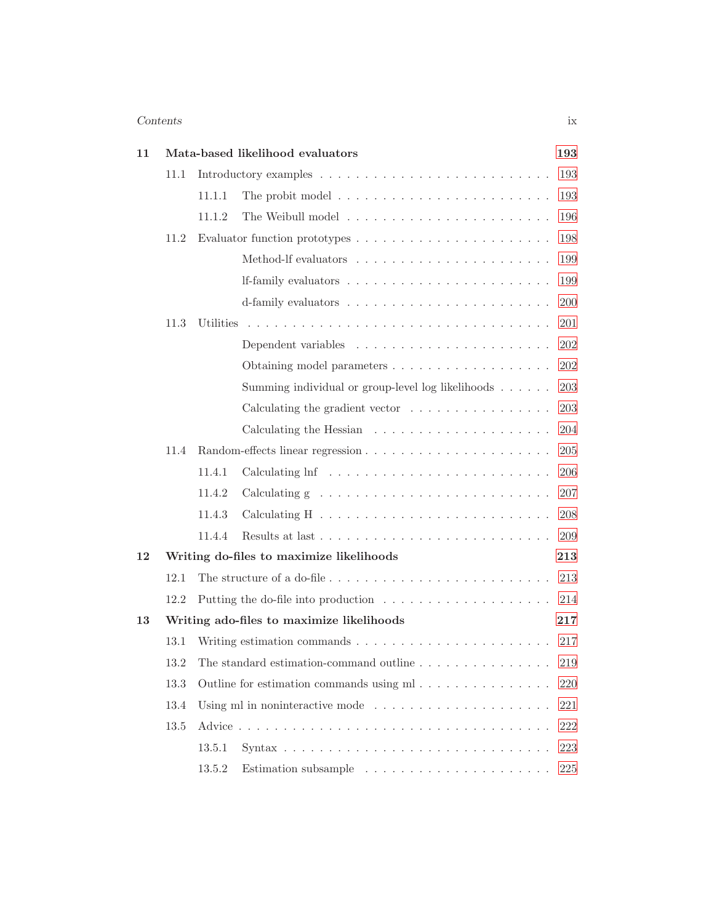### *Contents* ix

| 11 |          | Mata-based likelihood evaluators<br>193                                                         |
|----|----------|-------------------------------------------------------------------------------------------------|
|    | 11.1     | 193                                                                                             |
|    |          | 193<br>11.1.1                                                                                   |
|    |          | 196<br>11.1.2                                                                                   |
|    | 11.2     | 198                                                                                             |
|    |          | 199                                                                                             |
|    |          | 199<br>If-family evaluators $\dots \dots \dots \dots \dots \dots \dots \dots \dots$             |
|    |          | 200                                                                                             |
|    | 11.3     | 201                                                                                             |
|    |          | 202                                                                                             |
|    |          | 202                                                                                             |
|    |          | 203<br>Summing individual or group-level log likelihoods $\ldots \ldots$                        |
|    |          | Calculating the gradient vector $\ldots \ldots \ldots \ldots \ldots$<br>203                     |
|    |          | Calculating the Hessian $\ldots \ldots \ldots \ldots \ldots \ldots$<br>204                      |
|    | 11.4     | 205                                                                                             |
|    |          | 206<br>11.4.1                                                                                   |
|    |          | 207<br>11.4.2<br>Calculating $g \dots \dots \dots \dots \dots \dots \dots \dots \dots \dots$    |
|    |          | 11.4.3<br>208                                                                                   |
|    |          | 11.4.4<br>209                                                                                   |
| 12 |          | Writing do-files to maximize likelihoods<br>213                                                 |
|    | 12.1     | The structure of a do-file $\dots \dots \dots \dots \dots \dots \dots \dots \dots \dots$<br>213 |
|    | 12.2     | 214                                                                                             |
| 13 |          | Writing ado-files to maximize likelihoods<br>217                                                |
|    | 13.1     | Writing estimation commands $\ldots \ldots \ldots \ldots \ldots \ldots \ldots$<br>217           |
|    | 13.2     | 219                                                                                             |
|    | 13.3     | Outline for estimation commands using $ml \ldots \ldots \ldots \ldots \ldots$<br>220            |
|    | 13.4     | Using ml in noninteractive mode $\dots \dots \dots \dots \dots \dots \dots$<br>221              |
|    | $13.5\,$ | 222                                                                                             |
|    |          | 13.5.1<br>223                                                                                   |
|    |          | 13.5.2<br>225                                                                                   |
|    |          |                                                                                                 |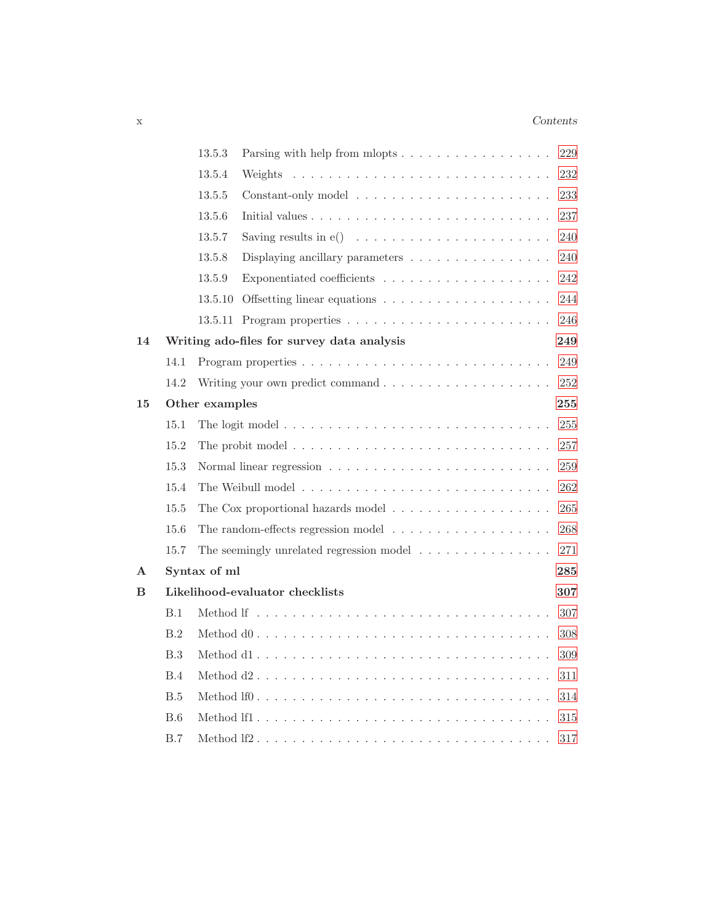### x *Contents*

|              |      | 13.5.3         | Parsing with help from mlopts $\dots \dots \dots \dots \dots \dots$                       | 229 |
|--------------|------|----------------|-------------------------------------------------------------------------------------------|-----|
|              |      | 13.5.4         | Weights                                                                                   | 232 |
|              |      | 13.5.5         |                                                                                           | 233 |
|              |      | 13.5.6         |                                                                                           | 237 |
|              |      | 13.5.7         |                                                                                           | 240 |
|              |      | 13.5.8         | Displaying ancillary parameters $\dots \dots \dots \dots \dots \dots$                     | 240 |
|              |      | 13.5.9         |                                                                                           | 242 |
|              |      | 13.5.10        |                                                                                           | 244 |
|              |      |                |                                                                                           | 246 |
| 14           |      |                | Writing ado-files for survey data analysis                                                | 249 |
|              | 14.1 |                |                                                                                           | 249 |
|              | 14.2 |                | Writing your own predict command $\ldots \ldots \ldots \ldots \ldots \ldots$              | 252 |
| 15           |      | Other examples |                                                                                           | 255 |
|              | 15.1 |                |                                                                                           | 255 |
|              | 15.2 |                | The probit model $\dots \dots \dots \dots \dots \dots \dots \dots \dots \dots \dots$      | 257 |
|              | 15.3 |                |                                                                                           | 259 |
|              | 15.4 |                |                                                                                           | 262 |
|              | 15.5 |                | The Cox proportional hazards model $\ldots \ldots \ldots \ldots \ldots \ldots$            | 265 |
|              | 15.6 |                | The random-effects regression model $\dots \dots \dots \dots \dots \dots$                 | 268 |
|              | 15.7 |                | The seemingly unrelated regression model $\ldots \ldots \ldots \ldots$                    | 271 |
| $\mathbf{A}$ |      | Syntax of ml   |                                                                                           | 285 |
| в            |      |                | Likelihood-evaluator checklists                                                           | 307 |
|              | B.1  |                |                                                                                           | 307 |
|              | B.2  |                | Method d $0 \ldots \ldots \ldots \ldots \ldots \ldots \ldots \ldots \ldots \ldots \ldots$ | 308 |
|              | B.3  |                |                                                                                           | 309 |
|              | B.4  |                |                                                                                           | 311 |
|              | B.5  |                |                                                                                           | 314 |
|              | B.6  |                |                                                                                           | 315 |
|              | B.7  |                |                                                                                           | 317 |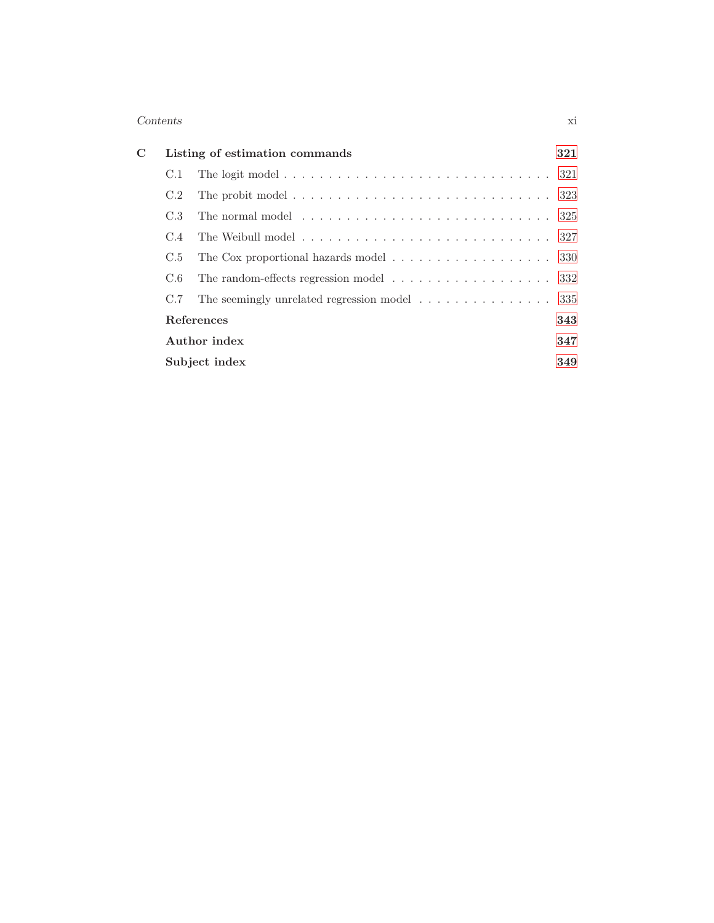### *Contents* xi

| $\mathbf C$ | Listing of estimation commands |                                                                                                |  |  |  |  |  |  |  |  |
|-------------|--------------------------------|------------------------------------------------------------------------------------------------|--|--|--|--|--|--|--|--|
|             | C.1                            | The logit model $\ldots \ldots \ldots \ldots \ldots \ldots \ldots \ldots \ldots \ldots$        |  |  |  |  |  |  |  |  |
|             | C.2                            | The probit model $\ldots \ldots \ldots \ldots \ldots \ldots \ldots \ldots \ldots \ldots$       |  |  |  |  |  |  |  |  |
|             | C.3                            | The normal model $\dots \dots \dots \dots \dots \dots \dots \dots \dots \dots \dots \dots$ 325 |  |  |  |  |  |  |  |  |
|             | C.4                            |                                                                                                |  |  |  |  |  |  |  |  |
|             | C.5                            | The Cox proportional hazards model 330                                                         |  |  |  |  |  |  |  |  |
|             | C.6                            | The random-effects regression model $\ldots \ldots \ldots \ldots \ldots \ldots 332$            |  |  |  |  |  |  |  |  |
|             | C.7                            | The seemingly unrelated regression model $\ldots \ldots \ldots \ldots \ldots$ 335              |  |  |  |  |  |  |  |  |
|             | References                     |                                                                                                |  |  |  |  |  |  |  |  |
|             | Author index                   |                                                                                                |  |  |  |  |  |  |  |  |
|             | Subject index                  |                                                                                                |  |  |  |  |  |  |  |  |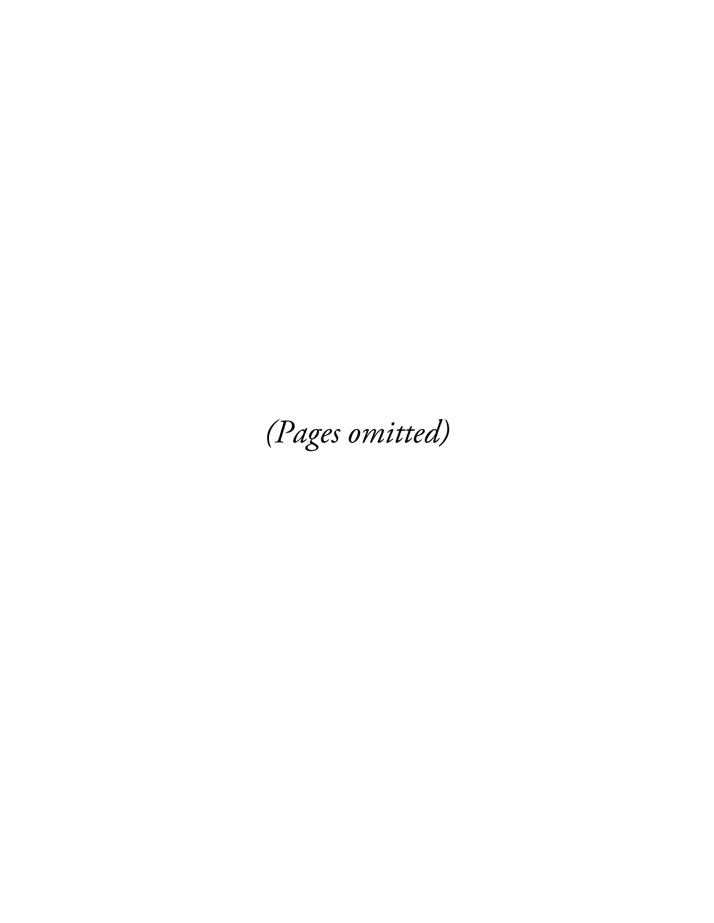(Pages omitted)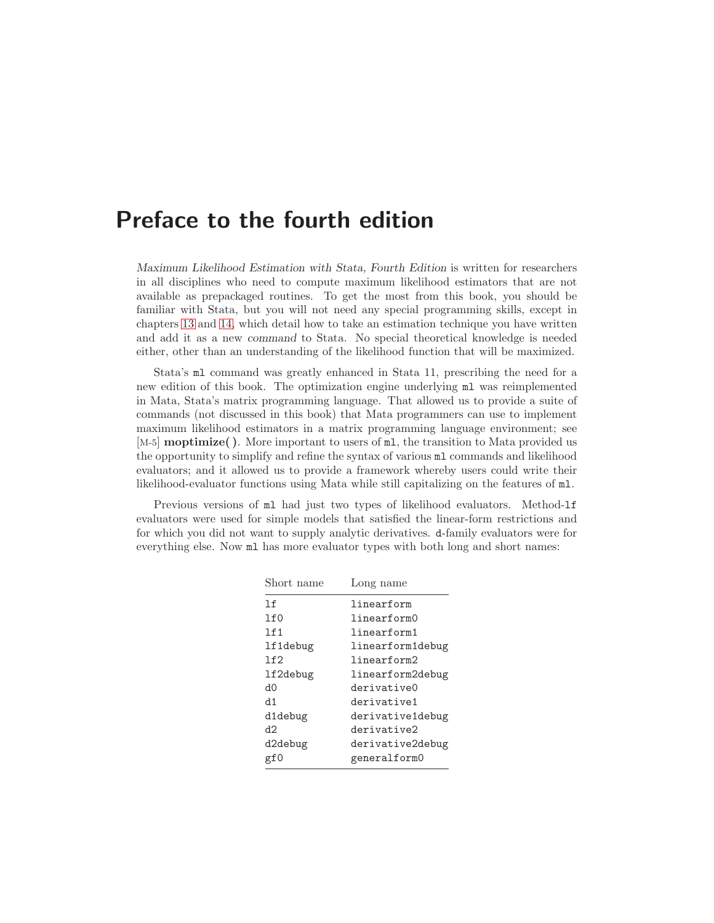### Preface to the fourth edition

*Maximum Likelihood Estimation with Stata, Fourth Edition* is written for researchers in all disciplines who need to compute maximum likelihood estimators that are not available as prepackaged routines. To get the most from this book, you should be familiar with Stata, but you will not need any special programming skills, except in chapters 13 and 14, which detail how to take an estimation technique you have written and add it as a new *command* to Stata. No special theoretical knowledge is needed either, other than an understanding of the likelihood function that will be maximized.

Stata's ml command was greatly enhanced in Stata 11, prescribing the need for a new edition of this book. The optimization engine underlying ml was reimplemented in Mata, Stata's matrix programming language. That allowed us to provide a suite of commands (not discussed in this book) that Mata programmers can use to implement maximum likelihood estimators in a matrix programming language environment; see [M-5] **moptimize()**. More important to users of  $m$ , the transition to Mata provided us the opportunity to simplify and refine the syntax of various ml commands and likelihood evaluators; and it allowed us to provide a framework whereby users could write their likelihood-evaluator functions using Mata while still capitalizing on the features of ml.

Previous versions of ml had just two types of likelihood evaluators. Method-lf evaluators were used for simple models that satisfied the linear-form restrictions and for which you did not want to supply analytic derivatives. d-family evaluators were for everything else. Now  $m$  has more evaluator types with both long and short names:

| Short name      | Long name        |
|-----------------|------------------|
| lf              | linearform       |
| 1f <sub>0</sub> | linearform0      |
| 1f1             | linearform1      |
| lf1debug        | linearform1debug |
| 1f2             | linearform2      |
| 1f2debug        | linearform2debug |
| d0              | derivative0      |
| d1              | derivative1      |
| d1debug         | derivative1debug |
| d2              | derivative2      |
| d2debug         | derivative2debug |
|                 | generalform0     |
|                 |                  |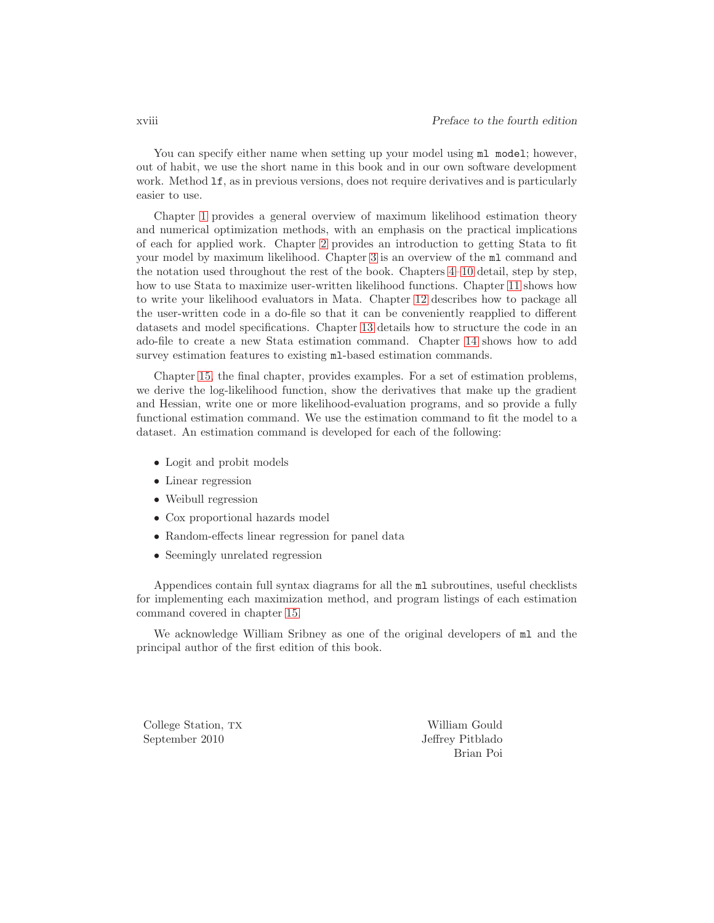You can specify either name when setting up your model using  $m1$  model; however, out of habit, we use the short name in this book and in our own software development work. Method lf, as in previous versions, does not require derivatives and is particularly easier to use.

Chapter 1 provides a general overview of maximum likelihood estimation theory and numerical optimization methods, with an emphasis on the practical implications of each for applied work. Chapter 2 provides an introduction to getting Stata to fit your model by maximum likelihood. Chapter 3 is an overview of the ml command and the notation used throughout the rest of the book. Chapters 4–10 detail, step by step, how to use Stata to maximize user-written likelihood functions. Chapter 11 shows how to write your likelihood evaluators in Mata. Chapter 12 describes how to package all the user-written code in a do-file so that it can be conveniently reapplied to different datasets and model specifications. Chapter 13 details how to structure the code in an ado-file to create a new Stata estimation command. Chapter 14 shows how to add survey estimation features to existing  $m1$ -based estimation commands.

Chapter 15, the final chapter, provides examples. For a set of estimation problems, we derive the log-likelihood function, show the derivatives that make up the gradient and Hessian, write one or more likelihood-evaluation programs, and so provide a fully functional estimation command. We use the estimation command to fit the model to a dataset. An estimation command is developed for each of the following:

- Logit and probit models
- Linear regression
- Weibull regression
- Cox proportional hazards model
- Random-effects linear regression for panel data
- Seemingly unrelated regression

Appendices contain full syntax diagrams for all the ml subroutines, useful checklists for implementing each maximization method, and program listings of each estimation command covered in chapter 15.

We acknowledge William Sribney as one of the original developers of  $m1$  and the principal author of the first edition of this book.

College Station, TX William Gould September 2010 Jeffrey Pitblado

Brian Poi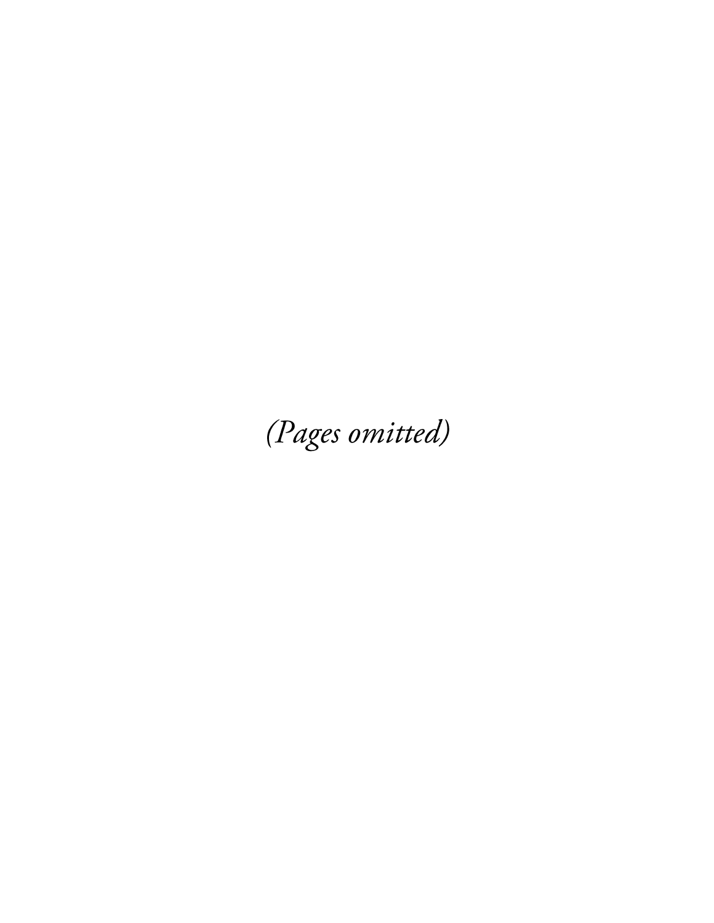(Pages omitted)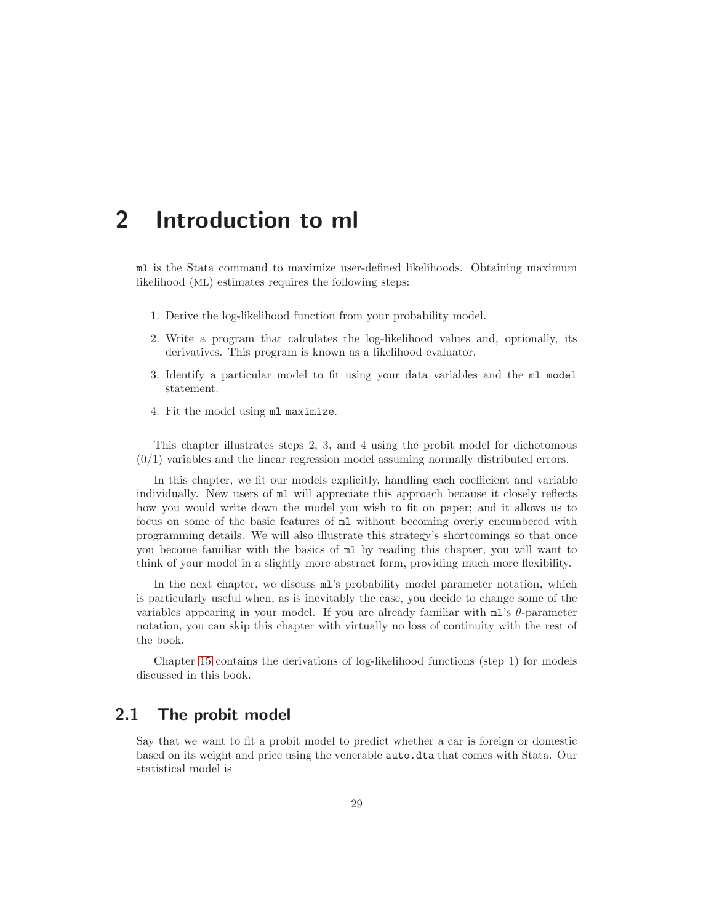## 2 Introduction to ml

ml is the Stata command to maximize user-defined likelihoods. Obtaining maximum likelihood (ML) estimates requires the following steps:

- 1. Derive the log-likelihood function from your probability model.
- 2. Write a program that calculates the log-likelihood values and, optionally, its derivatives. This program is known as a likelihood evaluator.
- 3. Identify a particular model to fit using your data variables and the ml model statement.
- 4. Fit the model using ml maximize.

This chapter illustrates steps 2, 3, and 4 using the probit model for dichotomous  $(0/1)$  variables and the linear regression model assuming normally distributed errors.

In this chapter, we fit our models explicitly, handling each coefficient and variable individually. New users of ml will appreciate this approach because it closely reflects how you would write down the model you wish to fit on paper; and it allows us to focus on some of the basic features of ml without becoming overly encumbered with programming details. We will also illustrate this strategy's shortcomings so that once you become familiar with the basics of ml by reading this chapter, you will want to think of your model in a slightly more abstract form, providing much more flexibility.

In the next chapter, we discuss ml's probability model parameter notation, which is particularly useful when, as is inevitably the case, you decide to change some of the variables appearing in your model. If you are already familiar with ml's θ-parameter notation, you can skip this chapter with virtually no loss of continuity with the rest of the book.

Chapter 15 contains the derivations of log-likelihood functions (step 1) for models discussed in this book.

### 2.1 The probit model

Say that we want to fit a probit model to predict whether a car is foreign or domestic based on its weight and price using the venerable auto.dta that comes with Stata. Our statistical model is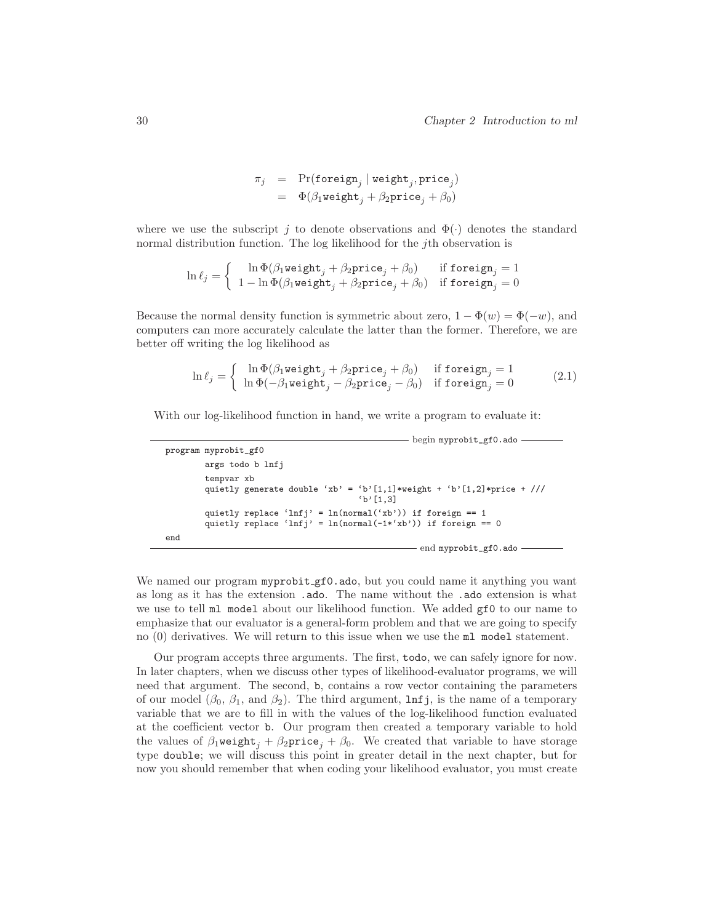$$
\begin{array}{lcl} \pi_j & = & \Pr(\texttt{foreign}_j \mid \texttt{weight}_j, \texttt{price}_j) \\ & = & \Phi(\beta_1 \texttt{weight}_j + \beta_2 \texttt{price}_j + \beta_0) \end{array}
$$

where we use the subscript j to denote observations and  $\Phi(\cdot)$  denotes the standard normal distribution function. The log likelihood for the jth observation is

$$
\ln \ell_j = \left\{ \begin{array}{cl} \ln \Phi(\beta_1 \texttt{weight}_j + \beta_2 \texttt{price}_j + \beta_0) & \text{if foreign}_j = 1 \\ 1 - \ln \Phi(\beta_1 \texttt{weight}_j + \beta_2 \texttt{price}_j + \beta_0) & \text{if foreign}_j = 0 \end{array} \right.
$$

Because the normal density function is symmetric about zero,  $1 - \Phi(w) = \Phi(-w)$ , and computers can more accurately calculate the latter than the former. Therefore, we are better off writing the log likelihood as

$$
\ln \ell_j = \begin{cases} \ln \Phi(\beta_1 \text{weight}_j + \beta_2 \text{price}_j + \beta_0) & \text{if foreign}_j = 1\\ \ln \Phi(-\beta_1 \text{weight}_j - \beta_2 \text{price}_j - \beta_0) & \text{if foreign}_j = 0 \end{cases} \tag{2.1}
$$

With our log-likelihood function in hand, we write a program to evaluate it:

```
- begin myprobit_gf0.ado -
program myprobit_gf0
        args todo b lnfj
        tempvar xb
        quietly generate double 'xb' = 'b'[1,1]*weight + 'b'[1,2]*price + ///
                                       'b'[1,3]
        quietly replace 'lnfj' = ln(normal('xb')) if foreign == 1
        quietly replace 'lnfj' = ln(normal(-1 * 'xb')) if foreign == 0
end
                                                end myprobit_gf0.ado --
```
We named our program myprobit gf0.ado, but you could name it anything you want as long as it has the extension .ado. The name without the .ado extension is what we use to tell ml model about our likelihood function. We added gf0 to our name to emphasize that our evaluator is a general-form problem and that we are going to specify no (0) derivatives. We will return to this issue when we use the ml model statement.

Our program accepts three arguments. The first, todo, we can safely ignore for now. In later chapters, when we discuss other types of likelihood-evaluator programs, we will need that argument. The second, b, contains a row vector containing the parameters of our model  $(\beta_0, \beta_1, \text{ and } \beta_2)$ . The third argument, lnfj, is the name of a temporary variable that we are to fill in with the values of the log-likelihood function evaluated at the coefficient vector b. Our program then created a temporary variable to hold the values of  $\beta_1$ weight<sub>i</sub> +  $\beta_2$ price<sub>i</sub> +  $\beta_0$ . We created that variable to have storage type double; we will discuss this point in greater detail in the next chapter, but for now you should remember that when coding your likelihood evaluator, you must create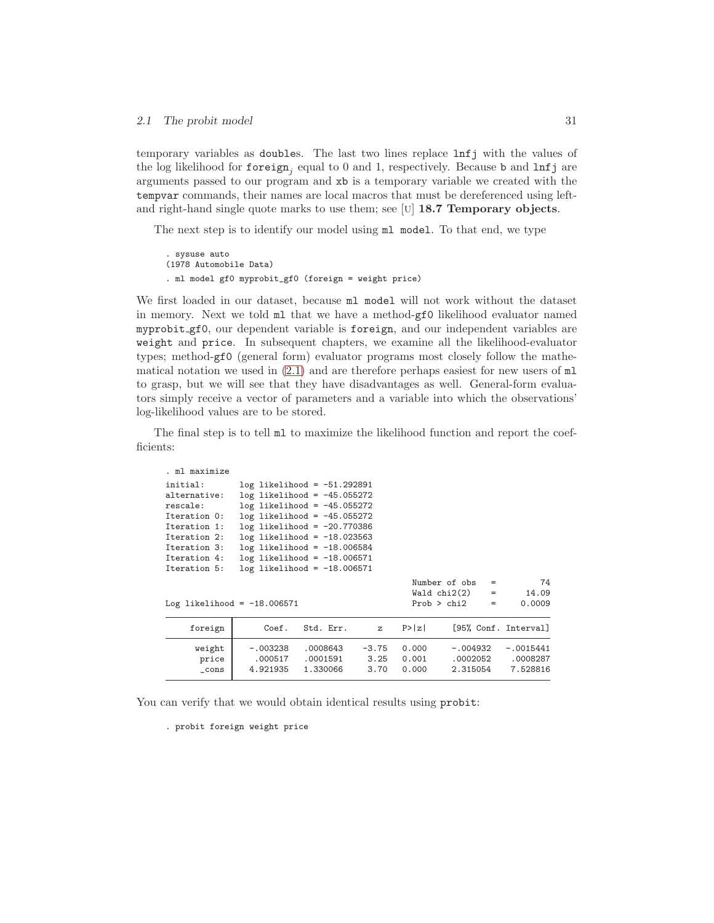temporary variables as doubles. The last two lines replace lnfj with the values of the log likelihood for  $\mathtt{foreign}_j$  equal to 0 and 1, respectively. Because **b** and  $\mathtt{lnfj}$  are arguments passed to our program and xb is a temporary variable we created with the tempvar commands, their names are local macros that must be dereferenced using leftand right-hand single quote marks to use them; see [U]  $18.7$  Temporary objects.

The next step is to identify our model using  $m1$  model. To that end, we type

```
. sysuse auto
(1978 Automobile Data)
. ml model gf0 myprobit_gf0 (foreign = weight price)
```
We first loaded in our dataset, because  $m1$  model will not work without the dataset in memory. Next we told ml that we have a method-gf0 likelihood evaluator named myprobit gf0, our dependent variable is foreign, and our independent variables are weight and price. In subsequent chapters, we examine all the likelihood-evaluator types; method-gf0 (general form) evaluator programs most closely follow the mathematical notation we used in  $(2.1)$  and are therefore perhaps easiest for new users of  $m1$ to grasp, but we will see that they have disadvantages as well. General-form evaluators simply receive a vector of parameters and a variable into which the observations' log-likelihood values are to be stored.

The final step is to tell  $m1$  to maximize the likelihood function and report the coefficients:

| . ml maximize                 |          |                                 |       |        |                  |     |                      |
|-------------------------------|----------|---------------------------------|-------|--------|------------------|-----|----------------------|
| initial:                      |          | $log$ likelihood = $-51.292891$ |       |        |                  |     |                      |
| alternative:                  |          | $log$ likelihood = $-45.055272$ |       |        |                  |     |                      |
| rescale:                      |          | $log$ likelihood = $-45.055272$ |       |        |                  |     |                      |
| Iteration 0:                  |          | $log$ likelihood = $-45.055272$ |       |        |                  |     |                      |
| Iteration 1:                  |          | $log$ likelihood = -20.770386   |       |        |                  |     |                      |
| Iteration 2:                  |          | $log$ likelihood = -18.023563   |       |        |                  |     |                      |
| Iteration 3:                  |          | $log$ likelihood = -18.006584   |       |        |                  |     |                      |
| Iteration 4:                  |          | $log$ likelihood = -18.006571   |       |        |                  |     |                      |
| Iteration 5:                  |          | $log$ likelihood = $-18.006571$ |       |        |                  |     |                      |
|                               |          |                                 |       |        | Number of obs    | $=$ | 74                   |
|                               |          |                                 |       |        | $Wald chi2(2) =$ |     | 14.09                |
| Log likelihood = $-18.006571$ |          |                                 |       |        | Prob > chi2      | $=$ | 0.0009               |
| foreign                       | Coef.    | Std. Err. z                     |       | P >  z |                  |     | [95% Conf. Interval] |
| weight                        | -.003238 | .0008643                        | -3.75 | 0.000  | -.004932         |     | $-.0015441$          |
| price                         |          | .000517 .0001591                | 3.25  | 0.001  | .0002052         |     | .0008287             |
| cons                          | 4.921935 | 1.330066                        | 3.70  | 0.000  | 2.315054         |     | 7.528816             |

You can verify that we would obtain identical results using probit:

. probit foreign weight price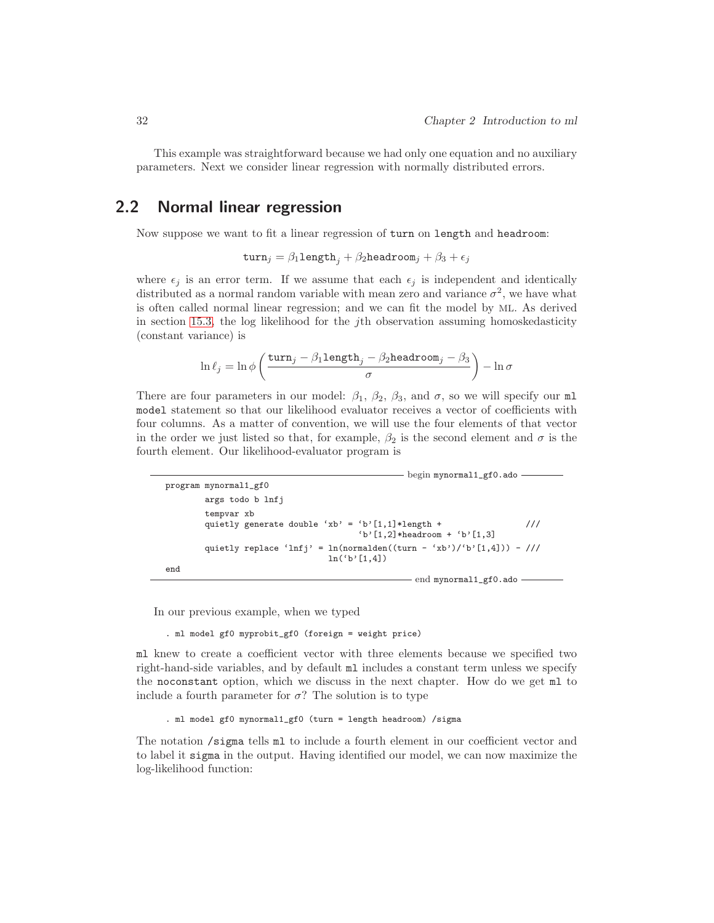This example was straightforward because we had only one equation and no auxiliary parameters. Next we consider linear regression with normally distributed errors.

### 2.2 Normal linear regression

Now suppose we want to fit a linear regression of turn on length and headroom:

turn<sub>j</sub> =  $\beta_1$ length<sub>j</sub> +  $\beta_2$ headroom<sub>j</sub> +  $\beta_3$  +  $\epsilon_j$ 

where  $\epsilon_j$  is an error term. If we assume that each  $\epsilon_j$  is independent and identically distributed as a normal random variable with mean zero and variance  $\sigma^2$ , we have what is often called normal linear regression; and we can fit the model by ML. As derived in section 15.3, the log likelihood for the jth observation assuming homoskedasticity (constant variance) is

$$
\ln \ell_j = \ln \phi \left( \frac{\texttt{turn}_j - \beta_1 \texttt{length}_j - \beta_2 \texttt{headroom}_j - \beta_3}{\sigma} \right) - \ln \sigma
$$

There are four parameters in our model:  $\beta_1$ ,  $\beta_2$ ,  $\beta_3$ , and  $\sigma$ , so we will specify our ml model statement so that our likelihood evaluator receives a vector of coefficients with four columns. As a matter of convention, we will use the four elements of that vector in the order we just listed so that, for example,  $\beta_2$  is the second element and  $\sigma$  is the fourth element. Our likelihood-evaluator program is

```
- begin mynormal1_gf0.ado -
program mynormal1_gf0
       args todo b lnfj
       tempvar xb
       quietly generate double 'xb' = 'b'[1,1]*length + ///
                                     'b'[1,2]*headroom + 'b'[1,3]
       quietly replace 'lnfj' = ln(normalden((turn - 'xb')/'b'[1,4])) - ///
                               ln('b'[1,4])end
                                              - end mynormal1_gf0.ado -
```
In our previous example, when we typed

. ml model gf0 myprobit\_gf0 (foreign = weight price)

ml knew to create a coefficient vector with three elements because we specified two right-hand-side variables, and by default ml includes a constant term unless we specify the noconstant option, which we discuss in the next chapter. How do we get ml to include a fourth parameter for  $\sigma$ ? The solution is to type

. ml model gf0 mynormal1\_gf0 (turn = length headroom) /sigma

The notation /sigma tells ml to include a fourth element in our coefficient vector and to label it sigma in the output. Having identified our model, we can now maximize the log-likelihood function: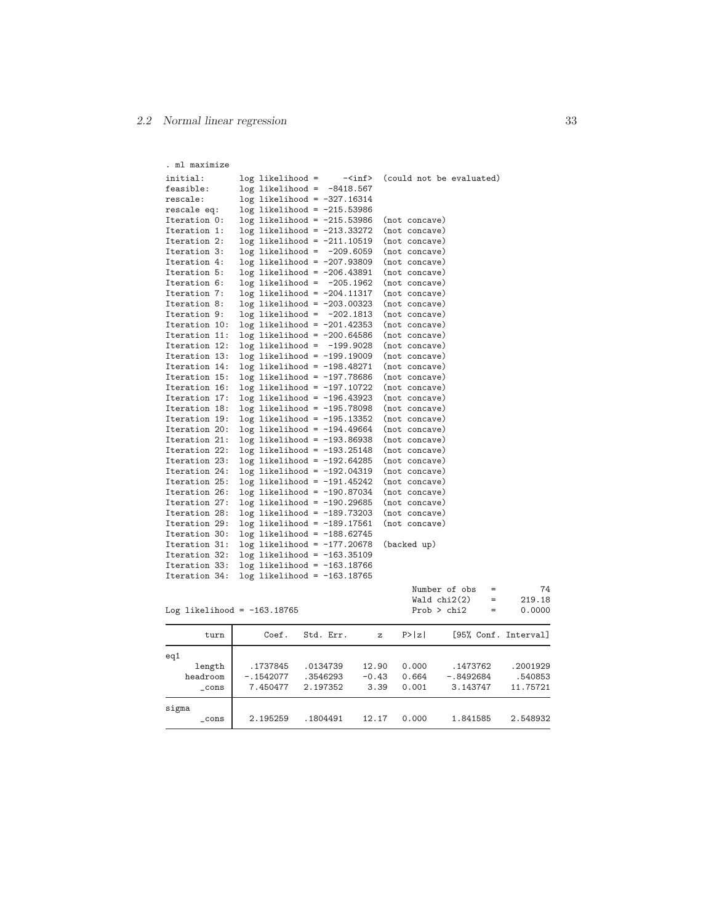| . ml maximize                  |                    |                                                                  |           |               |                          |                      |
|--------------------------------|--------------------|------------------------------------------------------------------|-----------|---------------|--------------------------|----------------------|
| initial:                       | $log$ likelihood = |                                                                  | $-\sin f$ |               | (could not be evaluated) |                      |
| feasible:                      | log likelihood =   | $-8418.567$                                                      |           |               |                          |                      |
| rescale:                       |                    | $log$ likelihood = $-327.16314$                                  |           |               |                          |                      |
| rescale eq:                    |                    | $log$ likelihood = $-215.53986$                                  |           |               |                          |                      |
| Iteration 0:                   |                    | $log$ likelihood = $-215.53986$                                  |           | (not concave) |                          |                      |
| Iteration 1:                   |                    | $log$ likelihood = $-213.33272$                                  |           | (not concave) |                          |                      |
| Iteration 2:                   |                    | $log$ likelihood = $-211.10519$                                  |           | (not concave) |                          |                      |
| Iteration 3:                   |                    | $log$ likelihood = $-209.6059$                                   |           | (not concave) |                          |                      |
| Iteration 4:                   |                    | $log$ likelihood = -207.93809                                    |           | (not concave) |                          |                      |
| Iteration 5:                   |                    | $log$ likelihood = -206.43891                                    |           | (not concave) |                          |                      |
| Iteration 6:                   |                    | $log$ likelihood = $-205.1962$                                   |           | (not concave) |                          |                      |
| Iteration 7:                   |                    | $log$ likelihood = $-204.11317$                                  |           | (not concave) |                          |                      |
| Iteration 8:                   |                    | $log$ likelihood = $-203.00323$                                  |           | (not concave) |                          |                      |
| Iteration 9:                   |                    | $log$ likelihood = $-202.1813$                                   |           | (not concave) |                          |                      |
| Iteration 10:                  |                    | $log$ likelihood = $-201.42353$                                  |           | (not concave) |                          |                      |
| Iteration 11:                  |                    | $log$ likelihood = $-200.64586$                                  |           | (not concave) |                          |                      |
| Iteration 12:                  |                    | $log$ likelihood = $-199.9028$                                   |           | (not concave) |                          |                      |
| Iteration 13:                  |                    | $log$ likelihood = $-199.19009$                                  |           | (not concave) |                          |                      |
| Iteration 14:                  |                    | $log$ likelihood = -198.48271                                    |           | (not concave) |                          |                      |
| Iteration 15:                  |                    | $log$ likelihood = -197.78686                                    |           | (not concave) |                          |                      |
| Iteration 16:                  |                    | $log$ likelihood = $-197.10722$                                  |           | (not concave) |                          |                      |
| Iteration 17:                  |                    | $log$ likelihood = $-196.43923$                                  |           | (not concave) |                          |                      |
| Iteration 18:                  |                    | $log$ likelihood = -195.78098                                    |           | (not concave) |                          |                      |
| Iteration 19:                  |                    | $log$ likelihood = $-195.13352$                                  |           | (not concave) |                          |                      |
| Iteration 20:                  |                    | $log$ likelihood = -194.49664                                    |           | (not concave) |                          |                      |
| Iteration 21:                  |                    | $log$ likelihood = $-193.86938$                                  |           | (not concave) |                          |                      |
| Iteration 22:                  |                    | $log$ likelihood = $-193.25148$                                  |           | (not concave) |                          |                      |
| Iteration 23:                  |                    | $log$ likelihood = -192.64285                                    |           | (not concave) |                          |                      |
| Iteration 24:                  |                    | $log$ likelihood = -192.04319                                    |           | (not concave) |                          |                      |
| Iteration 25:                  |                    | $log$ likelihood = -191.45242                                    |           | (not concave) |                          |                      |
| Iteration 26:                  |                    | $log$ likelihood = $-190.87034$                                  |           | (not concave) |                          |                      |
| Iteration 27:                  |                    | $log$ likelihood = $-190.29685$                                  |           | (not concave) |                          |                      |
| Iteration 28:                  |                    | $log$ likelihood = -189.73203                                    |           | (not concave) |                          |                      |
| Iteration 29:<br>Iteration 30: |                    | $log$ likelihood = $-189.17561$                                  |           | (not concave) |                          |                      |
| Iteration 31:                  |                    | $log$ likelihood = -188.62745<br>$log$ likelihood = $-177.20678$ |           | (backed up)   |                          |                      |
| Iteration 32:                  |                    | $log$ likelihood = $-163.35109$                                  |           |               |                          |                      |
| Iteration 33:                  |                    | $log$ likelihood = $-163.18766$                                  |           |               |                          |                      |
| Iteration 34:                  |                    | $log$ likelihood = $-163.18765$                                  |           |               |                          |                      |
|                                |                    |                                                                  |           |               |                          |                      |
|                                |                    |                                                                  |           | Number of obs | =                        | 74                   |
|                                |                    |                                                                  |           | Wald chi2(2)  | $=$                      | 219.18               |
| Log likelihood = $-163.18765$  |                    |                                                                  |           | Prob > chi2   | $=$                      | 0.0000               |
|                                |                    |                                                                  |           |               |                          |                      |
| turn                           | Coef.              | Std. Err.                                                        | z         | P >  z        |                          | [95% Conf. Interval] |
| eq1                            |                    |                                                                  |           |               |                          |                      |
| length                         | .1737845           | .0134739                                                         | 12.90     | 0.000         | .1473762                 | .2001929             |
| headroom                       | -.1542077          | .3546293                                                         | $-0.43$   | 0.664         | $-.8492684$              | .540853              |
| _cons                          | 7.450477           | 2.197352                                                         | 3.39      | 0.001         | 3.143747                 | 11.75721             |
|                                |                    |                                                                  |           |               |                          |                      |
| sigma<br>$\_cons$              | 2.195259           | .1804491                                                         | 12.17     | 0.000         | 1.841585                 | 2.548932             |
|                                |                    |                                                                  |           |               |                          |                      |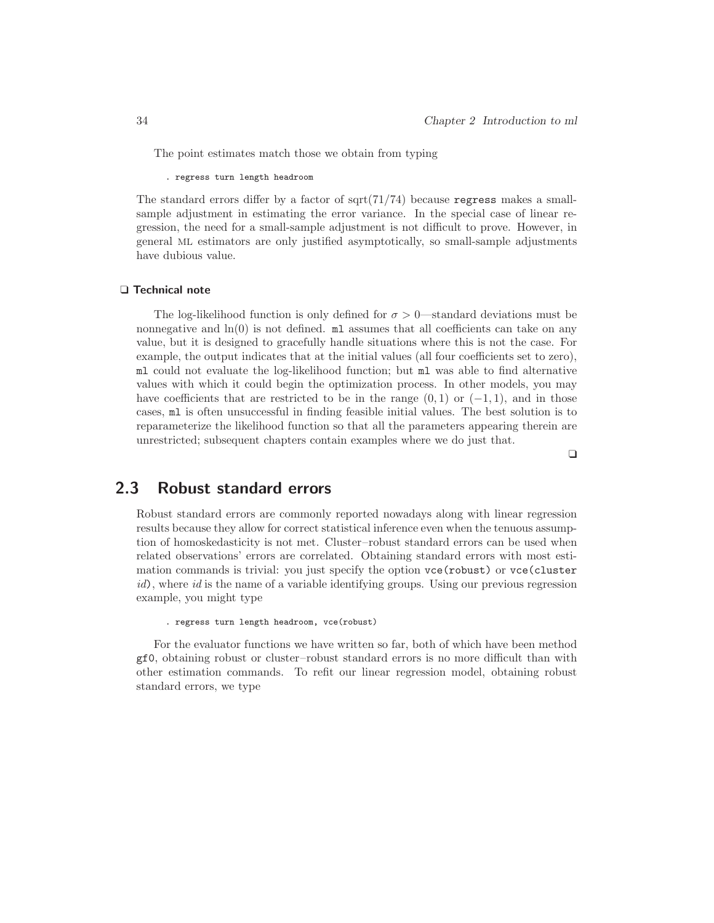The point estimates match those we obtain from typing

. regress turn length headroom

The standard errors differ by a factor of  $\text{sqrt}(71/74)$  because regress makes a smallsample adjustment in estimating the error variance. In the special case of linear regression, the need for a small-sample adjustment is not difficult to prove. However, in general ML estimators are only justified asymptotically, so small-sample adjustments have dubious value.

### ❑ Technical note

The log-likelihood function is only defined for  $\sigma > 0$ —standard deviations must be nonnegative and  $ln(0)$  is not defined.  $ml$  assumes that all coefficients can take on any value, but it is designed to gracefully handle situations where this is not the case. For example, the output indicates that at the initial values (all four coefficients set to zero), ml could not evaluate the log-likelihood function; but ml was able to find alternative values with which it could begin the optimization process. In other models, you may have coefficients that are restricted to be in the range  $(0,1)$  or  $(-1,1)$ , and in those cases, ml is often unsuccessful in finding feasible initial values. The best solution is to reparameterize the likelihood function so that all the parameters appearing therein are unrestricted; subsequent chapters contain examples where we do just that.

 $\Box$ 

### 2.3 Robust standard errors

Robust standard errors are commonly reported nowadays along with linear regression results because they allow for correct statistical inference even when the tenuous assumption of homoskedasticity is not met. Cluster–robust standard errors can be used when related observations' errors are correlated. Obtaining standard errors with most estimation commands is trivial: you just specify the option vce(robust) or vce(cluster  $id$ , where  $id$  is the name of a variable identifying groups. Using our previous regression example, you might type

. regress turn length headroom, vce(robust)

For the evaluator functions we have written so far, both of which have been method gf0, obtaining robust or cluster–robust standard errors is no more difficult than with other estimation commands. To refit our linear regression model, obtaining robust standard errors, we type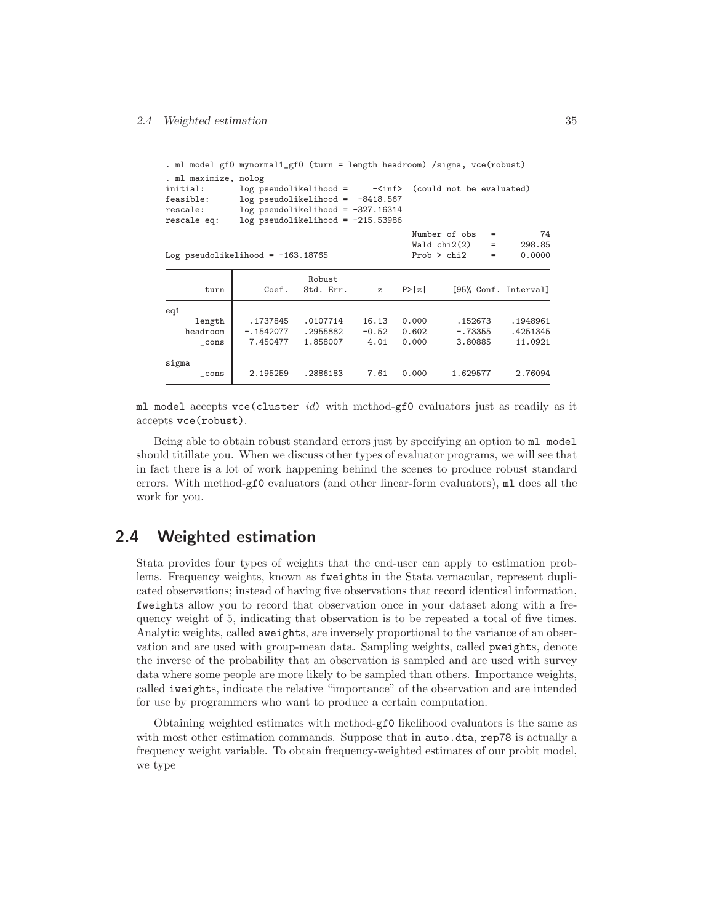```
. ml model gf0 mynormal1_gf0 (turn = length headroom) /sigma, vce(robust)
. ml maximize, nolog<br>initial: log p
initial: log pseudolikelihood = - <inf> (could not be evaluated)<br>feasible: log pseudolikelihood = -8418.567
feasible: log pseudolikelihood = -8418.567<br>rescale: log pseudolikelihood = -327.16314
                log pseudolikelihood = -327.16314
rescale eq: log pseudolikelihood = -215.53986
                                                      Number of obs = 74<br>Wald chi2(2) = 298.85Wald chi2(2) = 298.85<br>Prob > chi2 = 0.0000
Log pseudolikelihood = -163.18765Robust<br>Std. Err.
         turn Coef. Std. Err. z P>|z| [95% Conf. Interval]
eq1
       length .1737845 .0107714 16.13 0.000 .152673 .1948961
    headroom -.1542077 .2955882 -0.52 0.602 -.73355 .4251345
       \text{cons} 7.450477 1.858007 4.01
sigma
        _cons 2.195259 .2886183 7.61 0.000 1.629577 2.76094
```
ml model accepts vce(cluster id) with method-gf0 evaluators just as readily as it accepts vce(robust).

Being able to obtain robust standard errors just by specifying an option to ml model should titillate you. When we discuss other types of evaluator programs, we will see that in fact there is a lot of work happening behind the scenes to produce robust standard errors. With method-gf0 evaluators (and other linear-form evaluators), ml does all the work for you.

### 2.4 Weighted estimation

Stata provides four types of weights that the end-user can apply to estimation problems. Frequency weights, known as fweights in the Stata vernacular, represent duplicated observations; instead of having five observations that record identical information, fweights allow you to record that observation once in your dataset along with a frequency weight of 5, indicating that observation is to be repeated a total of five times. Analytic weights, called aweights, are inversely proportional to the variance of an observation and are used with group-mean data. Sampling weights, called pweights, denote the inverse of the probability that an observation is sampled and are used with survey data where some people are more likely to be sampled than others. Importance weights, called iweights, indicate the relative "importance" of the observation and are intended for use by programmers who want to produce a certain computation.

Obtaining weighted estimates with method-gf0 likelihood evaluators is the same as with most other estimation commands. Suppose that in auto.dta, rep78 is actually a frequency weight variable. To obtain frequency-weighted estimates of our probit model, we type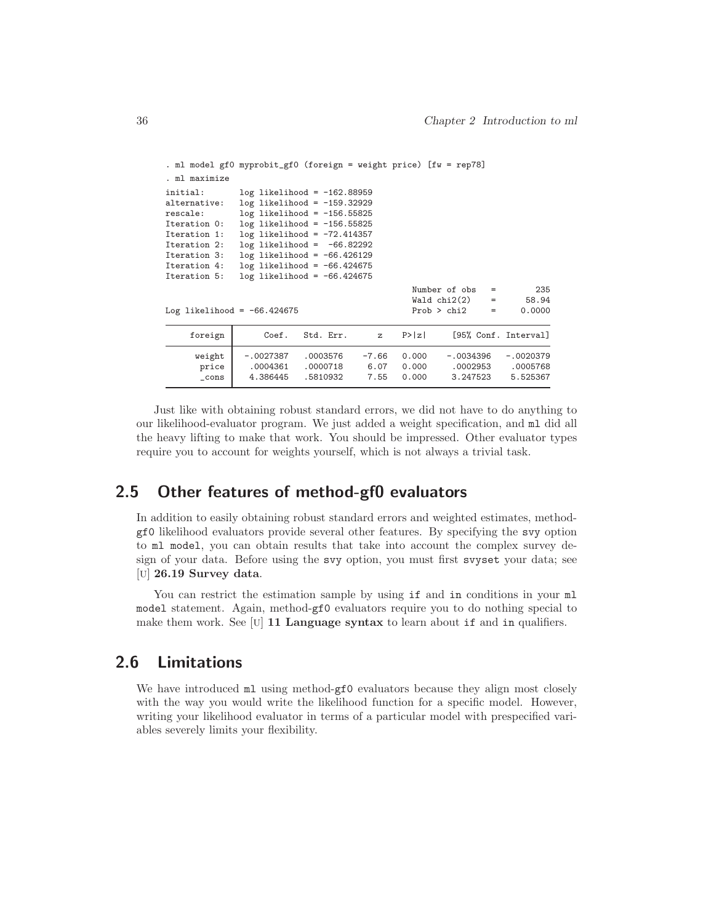| . ml model gf0 myprobit_gf0 (foreign = weight price) [fw = rep78] |                                 |             |         |        |                   |          |                      |
|-------------------------------------------------------------------|---------------------------------|-------------|---------|--------|-------------------|----------|----------------------|
| . ml maximize                                                     |                                 |             |         |        |                   |          |                      |
| initial:                                                          | $log$ likelihood = $-162.88959$ |             |         |        |                   |          |                      |
| alternative:                                                      | $log$ likelihood = $-159.32929$ |             |         |        |                   |          |                      |
| rescale:                                                          | $log$ likelihood = $-156.55825$ |             |         |        |                   |          |                      |
| Iteration 0:                                                      | $log$ likelihood = $-156.55825$ |             |         |        |                   |          |                      |
| Iteration 1:                                                      | $log$ likelihood = $-72.414357$ |             |         |        |                   |          |                      |
| Iteration 2:                                                      | $log$ likelihood = $-66.82292$  |             |         |        |                   |          |                      |
| Iteration 3:                                                      | $log$ likelihood = -66.426129   |             |         |        |                   |          |                      |
| Iteration 4:                                                      | $log$ likelihood = -66.424675   |             |         |        |                   |          |                      |
| Iteration 5:                                                      | $log$ likelihood = -66.424675   |             |         |        |                   |          |                      |
|                                                                   |                                 |             |         |        | Number of $obs =$ |          | 235                  |
|                                                                   |                                 |             |         |        | $Wald chi2(2) =$  |          | 58.94                |
| Log likelihood = $-66.424675$                                     |                                 |             |         |        | Prob > chi2       | $=$      | 0.0000               |
|                                                                   |                                 |             |         |        |                   |          |                      |
| foreign                                                           | Coef.                           | Std. Err. z |         | P >  z |                   |          | [95% Conf. Interval] |
| weight                                                            | $-.00273870003576$              |             | $-7.66$ | 0.000  | $-.0034396$       |          | $-.0020379$          |
| price                                                             | .0004361.0000718                |             | 6.07    | 0.000  |                   | .0002953 | .0005768             |
| $\_cons$                                                          | 4.386445 .5810932               |             | 7.55    | 0.000  |                   | 3.247523 | 5.525367             |
|                                                                   |                                 |             |         |        |                   |          |                      |

Just like with obtaining robust standard errors, we did not have to do anything to our likelihood-evaluator program. We just added a weight specification, and ml did all the heavy lifting to make that work. You should be impressed. Other evaluator types require you to account for weights yourself, which is not always a trivial task.

### 2.5 Other features of method-gf0 evaluators

In addition to easily obtaining robust standard errors and weighted estimates, methodgf0 likelihood evaluators provide several other features. By specifying the svy option to ml model, you can obtain results that take into account the complex survey design of your data. Before using the svy option, you must first svyset your data; see [U] 26.19 Survey data.

You can restrict the estimation sample by using if and in conditions in your ml model statement. Again, method-gf0 evaluators require you to do nothing special to make them work. See [U] 11 Language syntax to learn about if and in qualifiers.

### 2.6 Limitations

We have introduced  $m\text{1}$  using method-gf0 evaluators because they align most closely with the way you would write the likelihood function for a specific model. However, writing your likelihood evaluator in terms of a particular model with prespecified variables severely limits your flexibility.